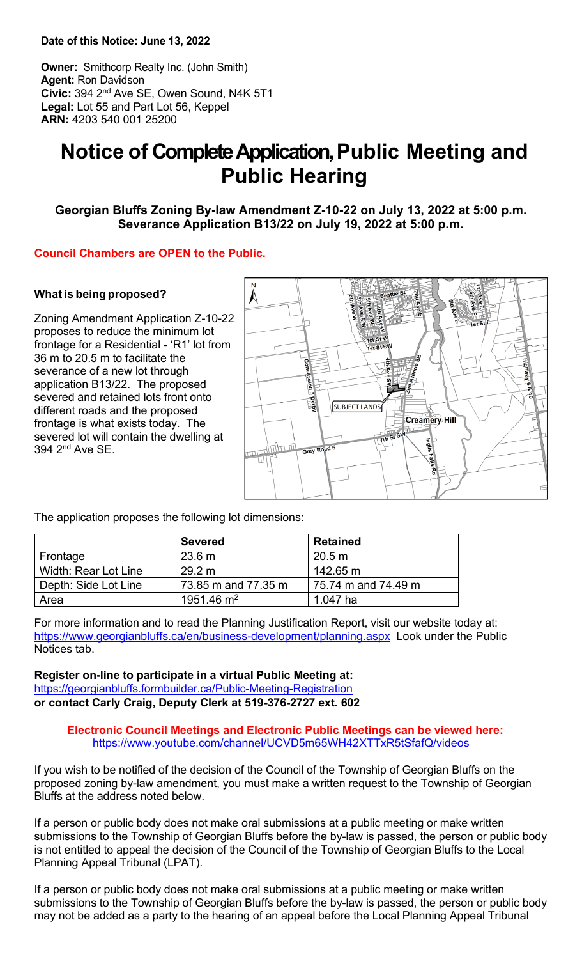**Date of this Notice: June 13, 2022**

**Owner:** Smithcorp Realty Inc. (John Smith) **Agent:** Ron Davidson **Civic:** 394 2nd Ave SE, Owen Sound, N4K 5T1 **Legal:** Lot 55 and Part Lot 56, Keppel **ARN:** 4203 540 001 25200

# **Notice of Complete Application,Public Meeting and Public Hearing**

**Georgian Bluffs Zoning By-law Amendment Z-10-22 on July 13, 2022 at 5:00 p.m. Severance Application B13/22 on July 19, 2022 at 5:00 p.m.**

## **Council Chambers are OPEN to the Public.**

## **What is being proposed?**

Zoning Amendment Application Z-10-22 proposes to reduce the minimum lot frontage for a Residential - 'R1' lot from 36 m to 20.5 m to facilitate the severance of a new lot through application B13/22. The proposed severed and retained lots front onto different roads and the proposed frontage is what exists today. The severed lot will contain the dwelling at 394 2nd Ave SE.



The application proposes the following lot dimensions:

|                      | <b>Severed</b>      | <b>Retained</b>     |
|----------------------|---------------------|---------------------|
| Frontage             | 23.6 m              | 20.5 m              |
| Width: Rear Lot Line | 29.2 m              | 142.65 m            |
| Depth: Side Lot Line | 73.85 m and 77.35 m | 75.74 m and 74.49 m |
| Area                 | 1951.46 $\rm m^2$   | 1.047 ha            |

For more information and to read the Planning Justification Report, visit our website today at: <https://www.georgianbluffs.ca/en/business-development/planning.aspx>Look under the Public Notices tab.

**Register on-line to participate in a virtual Public Meeting at:** <https://georgianbluffs.formbuilder.ca/Public-Meeting-Registration> **or contact Carly Craig, Deputy Clerk at 519-376-2727 ext. 602** 

### **Electronic Council Meetings and Electronic Public Meetings can be viewed here:** <https://www.youtube.com/channel/UCVD5m65WH42XTTxR5tSfafQ/videos>

If you wish to be notified of the decision of the Council of the Township of Georgian Bluffs on the proposed zoning by-law amendment, you must make a written request to the Township of Georgian Bluffs at the address noted below.

If a person or public body does not make oral submissions at a public meeting or make written submissions to the Township of Georgian Bluffs before the by-law is passed, the person or public body is not entitled to appeal the decision of the Council of the Township of Georgian Bluffs to the Local Planning Appeal Tribunal (LPAT).

If a person or public body does not make oral submissions at a public meeting or make written submissions to the Township of Georgian Bluffs before the by-law is passed, the person or public body may not be added as a party to the hearing of an appeal before the Local Planning Appeal Tribunal